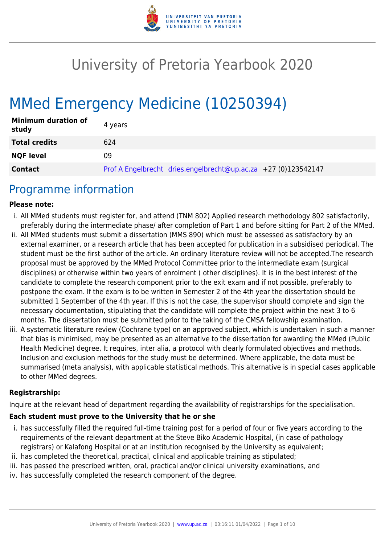

# University of Pretoria Yearbook 2020

# MMed Emergency Medicine (10250394)

| <b>Minimum duration of</b><br>study | 4 years                                                        |
|-------------------------------------|----------------------------------------------------------------|
| <b>Total credits</b>                | 624                                                            |
| <b>NQF level</b>                    | 09                                                             |
| <b>Contact</b>                      | Prof A Engelbrecht dries.engelbrecht@up.ac.za +27 (0)123542147 |

## Programme information

#### **Please note:**

- i. All MMed students must register for, and attend (TNM 802) Applied research methodology 802 satisfactorily, preferably during the intermediate phase/ after completion of Part 1 and before sitting for Part 2 of the MMed.
- ii. All MMed students must submit a dissertation (MMS 890) which must be assessed as satisfactory by an external examiner, or a research article that has been accepted for publication in a subsidised periodical. The student must be the first author of the article. An ordinary literature review will not be accepted.The research proposal must be approved by the MMed Protocol Committee prior to the intermediate exam (surgical disciplines) or otherwise within two years of enrolment ( other disciplines). It is in the best interest of the candidate to complete the research component prior to the exit exam and if not possible, preferably to postpone the exam. If the exam is to be written in Semester 2 of the 4th year the dissertation should be submitted 1 September of the 4th year. If this is not the case, the supervisor should complete and sign the necessary documentation, stipulating that the candidate will complete the project within the next 3 to 6 months. The dissertation must be submitted prior to the taking of the CMSA fellowship examination.
- iii. A systematic literature review (Cochrane type) on an approved subject, which is undertaken in such a manner that bias is minimised, may be presented as an alternative to the dissertation for awarding the MMed (Public Health Medicine) degree, It requires, inter alia, a protocol with clearly formulated objectives and methods. Inclusion and exclusion methods for the study must be determined. Where applicable, the data must be summarised (meta analysis), with applicable statistical methods. This alternative is in special cases applicable to other MMed degrees.

#### **Registrarship:**

Inquire at the relevant head of department regarding the availability of registrarships for the specialisation.

#### **Each student must prove to the University that he or she**

- i. has successfully filled the required full-time training post for a period of four or five years according to the requirements of the relevant department at the Steve Biko Academic Hospital, (in case of pathology registrars) or Kalafong Hospital or at an institution recognised by the University as equivalent;
- ii. has completed the theoretical, practical, clinical and applicable training as stipulated;
- iii. has passed the prescribed written, oral, practical and/or clinical university examinations, and
- iv. has successfully completed the research component of the degree.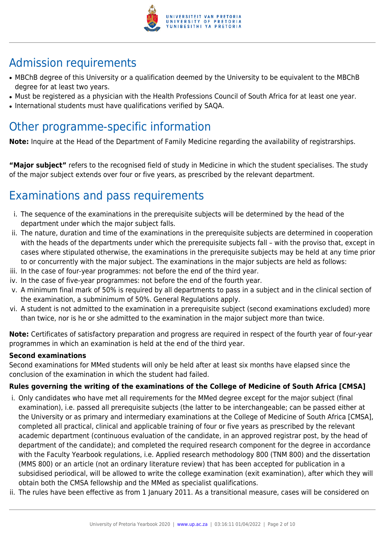

## Admission requirements

- MBChB degree of this University or a qualification deemed by the University to be equivalent to the MBChB degree for at least two years.
- Must be registered as a physician with the Health Professions Council of South Africa for at least one year.
- International students must have qualifications verified by SAQA.

## Other programme-specific information

**Note:** Inquire at the Head of the Department of Family Medicine regarding the availability of registrarships.

**"Major subject"** refers to the recognised field of study in Medicine in which the student specialises. The study of the major subject extends over four or five years, as prescribed by the relevant department.

## Examinations and pass requirements

- i. The sequence of the examinations in the prerequisite subjects will be determined by the head of the department under which the major subject falls.
- ii. The nature, duration and time of the examinations in the prerequisite subjects are determined in cooperation with the heads of the departments under which the prerequisite subjects fall – with the proviso that, except in cases where stipulated otherwise, the examinations in the prerequisite subjects may be held at any time prior to or concurrently with the major subject. The examinations in the major subjects are held as follows:
- iii. In the case of four-year programmes: not before the end of the third year.
- iv. In the case of five-year programmes: not before the end of the fourth year.
- v. A minimum final mark of 50% is required by all departments to pass in a subject and in the clinical section of the examination, a subminimum of 50%. General Regulations apply.
- vi. A student is not admitted to the examination in a prerequisite subject (second examinations excluded) more than twice, nor is he or she admitted to the examination in the major subject more than twice.

**Note:** Certificates of satisfactory preparation and progress are required in respect of the fourth year of four-year programmes in which an examination is held at the end of the third year.

### **Second examinations**

Second examinations for MMed students will only be held after at least six months have elapsed since the conclusion of the examination in which the student had failed.

## **Rules governing the writing of the examinations of the College of Medicine of South Africa [CMSA]**

- i. Only candidates who have met all requirements for the MMed degree except for the major subject (final examination), i.e. passed all prerequisite subjects (the latter to be interchangeable; can be passed either at the University or as primary and intermediary examinations at the College of Medicine of South Africa [CMSA], completed all practical, clinical and applicable training of four or five years as prescribed by the relevant academic department (continuous evaluation of the candidate, in an approved registrar post, by the head of department of the candidate); and completed the required research component for the degree in accordance with the Faculty Yearbook regulations, i.e. Applied research methodology 800 (TNM 800) and the dissertation (MMS 800) or an article (not an ordinary literature review) that has been accepted for publication in a subsidised periodical, will be allowed to write the college examination (exit examination), after which they will obtain both the CMSA fellowship and the MMed as specialist qualifications.
- ii. The rules have been effective as from 1 January 2011. As a transitional measure, cases will be considered on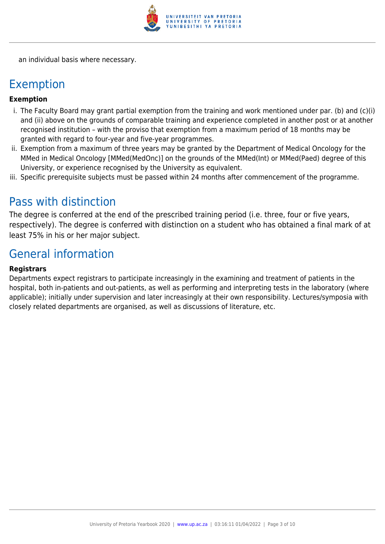

an individual basis where necessary.

## Exemption

### **Exemption**

- i. The Faculty Board may grant partial exemption from the training and work mentioned under par. (b) and (c)(i) and (ii) above on the grounds of comparable training and experience completed in another post or at another recognised institution – with the proviso that exemption from a maximum period of 18 months may be granted with regard to four-year and five-year programmes.
- ii. Exemption from a maximum of three years may be granted by the Department of Medical Oncology for the MMed in Medical Oncology [MMed(MedOnc)] on the grounds of the MMed(Int) or MMed(Paed) degree of this University, or experience recognised by the University as equivalent.
- iii. Specific prerequisite subjects must be passed within 24 months after commencement of the programme.

## Pass with distinction

The degree is conferred at the end of the prescribed training period (i.e. three, four or five years, respectively). The degree is conferred with distinction on a student who has obtained a final mark of at least 75% in his or her major subject.

## General information

#### **Registrars**

Departments expect registrars to participate increasingly in the examining and treatment of patients in the hospital, both in-patients and out-patients, as well as performing and interpreting tests in the laboratory (where applicable); initially under supervision and later increasingly at their own responsibility. Lectures/symposia with closely related departments are organised, as well as discussions of literature, etc.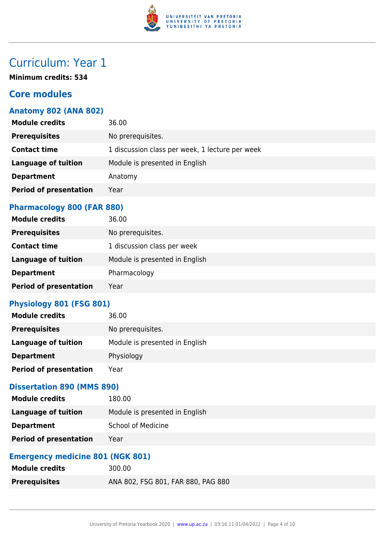

## Curriculum: Year 1

**Minimum credits: 534**

## **Core modules**

## **Anatomy 802 (ANA 802)**

| <b>Module credits</b>         | 36.00                                           |
|-------------------------------|-------------------------------------------------|
| <b>Prerequisites</b>          | No prerequisites.                               |
| <b>Contact time</b>           | 1 discussion class per week, 1 lecture per week |
| <b>Language of tuition</b>    | Module is presented in English                  |
| <b>Department</b>             | Anatomy                                         |
| <b>Period of presentation</b> | Year                                            |
|                               |                                                 |

### **Pharmacology 800 (FAR 880)**

| <b>Module credits</b>         | 36.00                          |
|-------------------------------|--------------------------------|
| <b>Prerequisites</b>          | No prerequisites.              |
| <b>Contact time</b>           | 1 discussion class per week    |
| <b>Language of tuition</b>    | Module is presented in English |
| <b>Department</b>             | Pharmacology                   |
| <b>Period of presentation</b> | Year                           |

#### **Physiology 801 (FSG 801)**

| <b>Module credits</b>         | 36.00                          |
|-------------------------------|--------------------------------|
| <b>Prerequisites</b>          | No prerequisites.              |
| Language of tuition           | Module is presented in English |
| <b>Department</b>             | Physiology                     |
| <b>Period of presentation</b> | Year                           |

### **Dissertation 890 (MMS 890)**

| <b>Module credits</b>         | 180.00                         |
|-------------------------------|--------------------------------|
| Language of tuition           | Module is presented in English |
| <b>Department</b>             | <b>School of Medicine</b>      |
| <b>Period of presentation</b> | Year                           |

## **Emergency medicine 801 (NGK 801)**

| Module credits       | 300.00                             |
|----------------------|------------------------------------|
| <b>Prerequisites</b> | ANA 802, FSG 801, FAR 880, PAG 880 |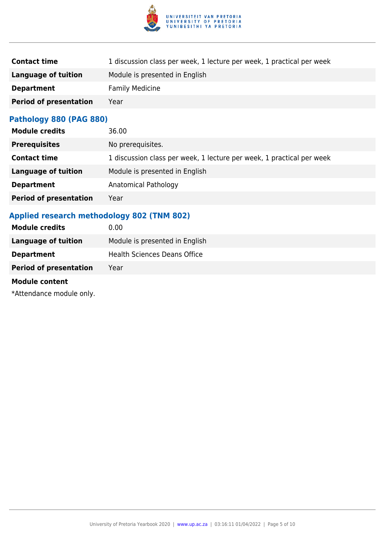

| 1 discussion class per week, 1 lecture per week, 1 practical per week |
|-----------------------------------------------------------------------|
| Module is presented in English                                        |
| <b>Family Medicine</b>                                                |
| Year                                                                  |
|                                                                       |

## **Pathology 880 (PAG 880)**

| <b>Module credits</b>         | 36.00                                                                 |
|-------------------------------|-----------------------------------------------------------------------|
| <b>Prerequisites</b>          | No prerequisites.                                                     |
| <b>Contact time</b>           | 1 discussion class per week, 1 lecture per week, 1 practical per week |
| <b>Language of tuition</b>    | Module is presented in English                                        |
| <b>Department</b>             | Anatomical Pathology                                                  |
| <b>Period of presentation</b> | Year                                                                  |

## **Applied research methodology 802 (TNM 802)**

| <b>Module credits</b>         | 0.00                                |
|-------------------------------|-------------------------------------|
| Language of tuition           | Module is presented in English      |
| <b>Department</b>             | <b>Health Sciences Deans Office</b> |
| <b>Period of presentation</b> | Year                                |
|                               |                                     |

#### **Module content**

\*Attendance module only.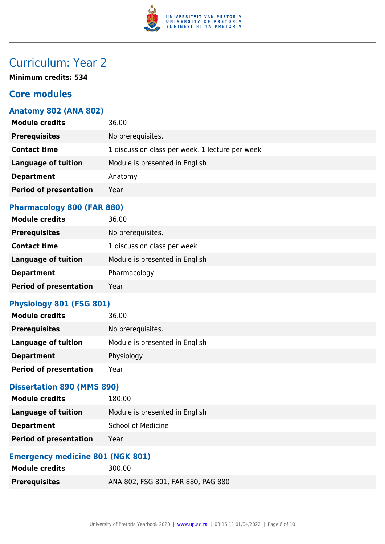

## Curriculum: Year 2

**Minimum credits: 534**

## **Core modules**

## **Anatomy 802 (ANA 802)**

| <b>Module credits</b>         | 36.00                                           |
|-------------------------------|-------------------------------------------------|
| <b>Prerequisites</b>          | No prerequisites.                               |
| <b>Contact time</b>           | 1 discussion class per week, 1 lecture per week |
| <b>Language of tuition</b>    | Module is presented in English                  |
| <b>Department</b>             | Anatomy                                         |
| <b>Period of presentation</b> | Year                                            |
|                               |                                                 |

### **Pharmacology 800 (FAR 880)**

| <b>Module credits</b>         | 36.00                          |
|-------------------------------|--------------------------------|
| <b>Prerequisites</b>          | No prerequisites.              |
| <b>Contact time</b>           | 1 discussion class per week    |
| <b>Language of tuition</b>    | Module is presented in English |
| <b>Department</b>             | Pharmacology                   |
| <b>Period of presentation</b> | Year                           |

#### **Physiology 801 (FSG 801)**

| <b>Module credits</b>         | 36.00                          |
|-------------------------------|--------------------------------|
| <b>Prerequisites</b>          | No prerequisites.              |
| Language of tuition           | Module is presented in English |
| <b>Department</b>             | Physiology                     |
| <b>Period of presentation</b> | Year                           |

### **Dissertation 890 (MMS 890)**

| <b>Module credits</b>         | 180.00                         |
|-------------------------------|--------------------------------|
| Language of tuition           | Module is presented in English |
| <b>Department</b>             | <b>School of Medicine</b>      |
| <b>Period of presentation</b> | Year                           |

## **Emergency medicine 801 (NGK 801)**

| <b>Module credits</b> | 300.00                             |
|-----------------------|------------------------------------|
| <b>Prerequisites</b>  | ANA 802, FSG 801, FAR 880, PAG 880 |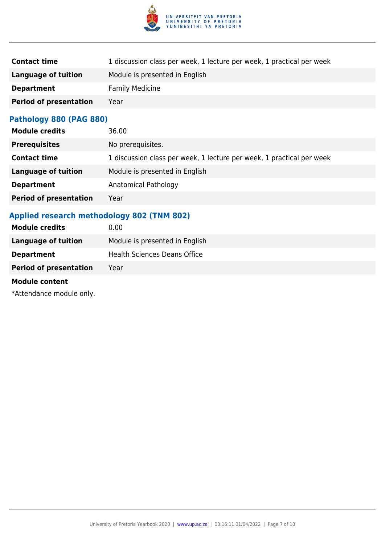

| 1 discussion class per week, 1 lecture per week, 1 practical per week |
|-----------------------------------------------------------------------|
| Module is presented in English                                        |
| <b>Family Medicine</b>                                                |
| Year                                                                  |
|                                                                       |

## **Pathology 880 (PAG 880)**

| <b>Module credits</b>         | 36.00                                                                 |
|-------------------------------|-----------------------------------------------------------------------|
| <b>Prerequisites</b>          | No prerequisites.                                                     |
| <b>Contact time</b>           | 1 discussion class per week, 1 lecture per week, 1 practical per week |
| <b>Language of tuition</b>    | Module is presented in English                                        |
| <b>Department</b>             | Anatomical Pathology                                                  |
| <b>Period of presentation</b> | Year                                                                  |

## **Applied research methodology 802 (TNM 802)**

| <b>Module credits</b>         | 0.00                                |
|-------------------------------|-------------------------------------|
| Language of tuition           | Module is presented in English      |
| <b>Department</b>             | <b>Health Sciences Deans Office</b> |
| <b>Period of presentation</b> | Year                                |
|                               |                                     |

#### **Module content**

\*Attendance module only.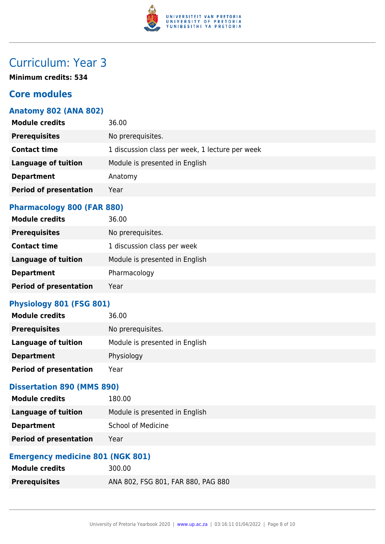

## Curriculum: Year 3

**Minimum credits: 534**

## **Core modules**

## **Anatomy 802 (ANA 802)**

| <b>Module credits</b>         | 36.00                                           |
|-------------------------------|-------------------------------------------------|
| <b>Prerequisites</b>          | No prerequisites.                               |
| <b>Contact time</b>           | 1 discussion class per week, 1 lecture per week |
| <b>Language of tuition</b>    | Module is presented in English                  |
| <b>Department</b>             | Anatomy                                         |
| <b>Period of presentation</b> | Year                                            |
|                               |                                                 |

### **Pharmacology 800 (FAR 880)**

| <b>Module credits</b>         | 36.00                          |
|-------------------------------|--------------------------------|
| <b>Prerequisites</b>          | No prerequisites.              |
| <b>Contact time</b>           | 1 discussion class per week    |
| <b>Language of tuition</b>    | Module is presented in English |
| <b>Department</b>             | Pharmacology                   |
| <b>Period of presentation</b> | Year                           |

#### **Physiology 801 (FSG 801)**

| <b>Module credits</b>         | 36.00                          |
|-------------------------------|--------------------------------|
| <b>Prerequisites</b>          | No prerequisites.              |
| Language of tuition           | Module is presented in English |
| <b>Department</b>             | Physiology                     |
| <b>Period of presentation</b> | Year                           |

### **Dissertation 890 (MMS 890)**

| <b>Module credits</b>         | 180.00                         |
|-------------------------------|--------------------------------|
| Language of tuition           | Module is presented in English |
| <b>Department</b>             | <b>School of Medicine</b>      |
| <b>Period of presentation</b> | Year                           |

## **Emergency medicine 801 (NGK 801)**

| Module credits       | 300.00                             |
|----------------------|------------------------------------|
| <b>Prerequisites</b> | ANA 802, FSG 801, FAR 880, PAG 880 |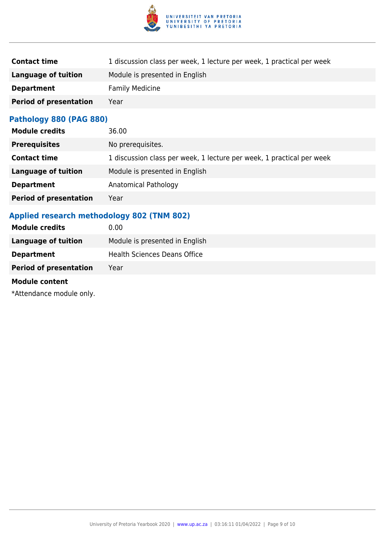

| 1 discussion class per week, 1 lecture per week, 1 practical per week |
|-----------------------------------------------------------------------|
| Module is presented in English                                        |
| <b>Family Medicine</b>                                                |
| Year                                                                  |
|                                                                       |

## **Pathology 880 (PAG 880)**

| <b>Module credits</b>         | 36.00                                                                 |
|-------------------------------|-----------------------------------------------------------------------|
| <b>Prerequisites</b>          | No prerequisites.                                                     |
| <b>Contact time</b>           | 1 discussion class per week, 1 lecture per week, 1 practical per week |
| <b>Language of tuition</b>    | Module is presented in English                                        |
| <b>Department</b>             | Anatomical Pathology                                                  |
| <b>Period of presentation</b> | Year                                                                  |

## **Applied research methodology 802 (TNM 802)**

| <b>Module credits</b>         | 0.00                                |
|-------------------------------|-------------------------------------|
| Language of tuition           | Module is presented in English      |
| <b>Department</b>             | <b>Health Sciences Deans Office</b> |
| <b>Period of presentation</b> | Year                                |
|                               |                                     |

#### **Module content**

\*Attendance module only.